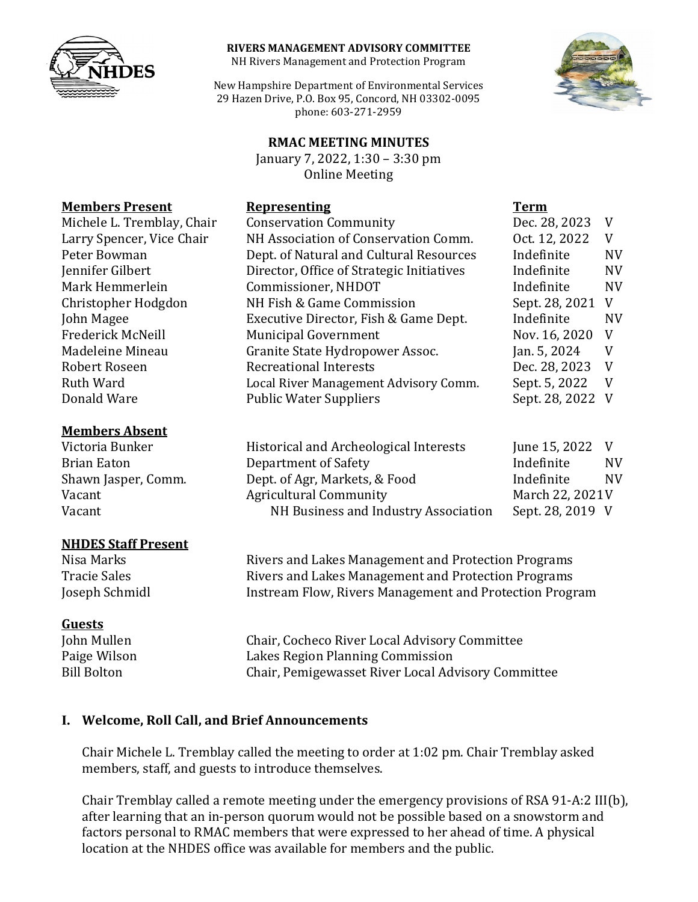

#### **RIVERS MANAGEMENT ADVISORY COMMITTEE**

NH Rivers Management and Protection Program

New Hampshire Department of Environmental Services 29 Hazen Drive, P.O. Box 95, Concord, NH 03302-0095 phone: 603-271-2959

#### **RMAC MEETING MINUTES**

January 7, 2022, 1:30 – 3:30 pm Online Meeting



| Victoria Bunker     | Historical and Archeological Interests | June 15, 2022    | V  |
|---------------------|----------------------------------------|------------------|----|
| Brian Eaton         | Department of Safety                   | Indefinite       | NV |
| Shawn Jasper, Comm. | Dept. of Agr, Markets, & Food          | Indefinite       | NV |
| Vacant              | <b>Agricultural Community</b>          | March 22, 2021V  |    |
| Vacant              | NH Business and Industry Association   | Sept. 28, 2019 V |    |

## **Members Present Representing Term**

#### **Members Absent**

### **NHDES Staff Present**

### **Guests**

Nisa Marks **Rivers and Lakes Management and Protection Programs**<br>Tracie Sales **Rivers and Lakes Management and Protection Programs** Tracie Sales **Rivers and Lakes Management and Protection Programs**<br>Joseph Schmidl **Right Englisher Rivers Management and Protection Programs** Instream Flow, Rivers Management and Protection Program

John Mullen Chair, Cocheco River Local Advisory Committee<br>Paige Wilson Lakes Region Planning Commission Paige Wilson Lakes Region Planning Commission Chair, Pemigewasset River Local Advisory Committee

### **I. Welcome, Roll Call, and Brief Announcements**

Chair Michele L. Tremblay called the meeting to order at 1:02 pm. Chair Tremblay asked members, staff, and guests to introduce themselves.

Chair Tremblay called a remote meeting under the emergency provisions of RSA 91-A:2 III(b), after learning that an in-person quorum would not be possible based on a snowstorm and factors personal to RMAC members that were expressed to her ahead of time. A physical location at the NHDES office was available for members and the public.

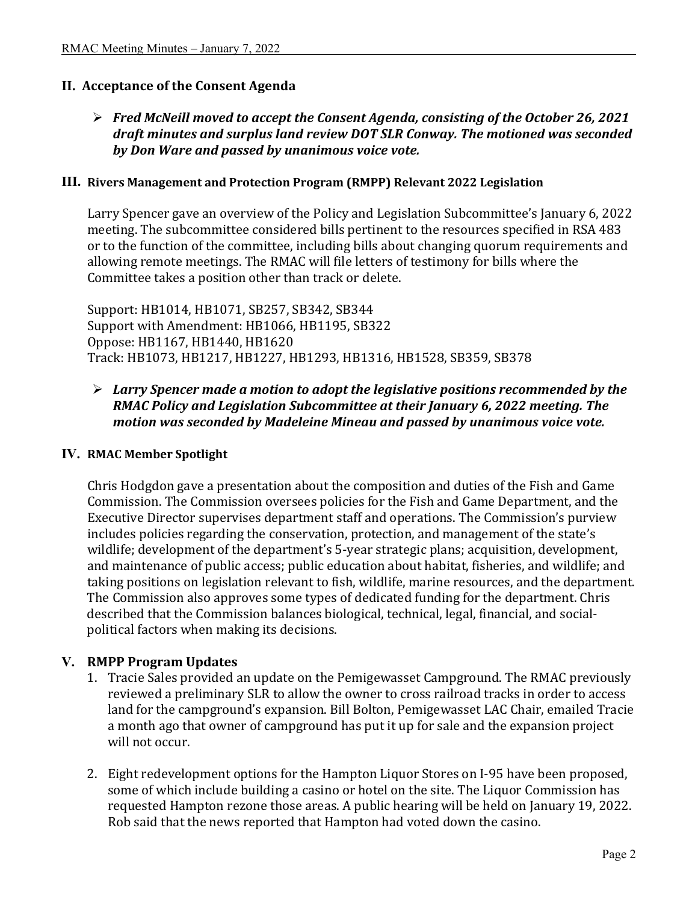## **II. Acceptance of the Consent Agenda**

## *Fred McNeill moved to accept the Consent Agenda, consisting of the October 26, 2021 draft minutes and surplus land review DOT SLR Conway. The motioned was seconded by Don Ware and passed by unanimous voice vote.*

#### **III. Rivers Management and Protection Program (RMPP) Relevant 2022 Legislation**

Larry Spencer gave an overview of the Policy and Legislation Subcommittee's January 6, 2022 meeting. The subcommittee considered bills pertinent to the resources specified in RSA 483 or to the function of the committee, including bills about changing quorum requirements and allowing remote meetings. The RMAC will file letters of testimony for bills where the Committee takes a position other than track or delete.

Support: HB1014, HB1071, SB257, SB342, SB344 Support with Amendment: HB1066, HB1195, SB322 Oppose: HB1167, HB1440, HB1620 Track: HB1073, HB1217, HB1227, HB1293, HB1316, HB1528, SB359, SB378

## *Larry Spencer made a motion to adopt the legislative positions recommended by the RMAC Policy and Legislation Subcommittee at their January 6, 2022 meeting. The motion was seconded by Madeleine Mineau and passed by unanimous voice vote.*

#### **IV. RMAC Member Spotlight**

Chris Hodgdon gave a presentation about the composition and duties of the Fish and Game Commission. The Commission oversees policies for the Fish and Game Department, and the Executive Director supervises department staff and operations. The Commission's purview includes policies regarding the conservation, protection, and management of the state's wildlife; development of the department's 5-year strategic plans; acquisition, development, and maintenance of public access; public education about habitat, fisheries, and wildlife; and taking positions on legislation relevant to fish, wildlife, marine resources, and the department. The Commission also approves some types of dedicated funding for the department. Chris described that the Commission balances biological, technical, legal, financial, and socialpolitical factors when making its decisions.

### **V. RMPP Program Updates**

- 1. Tracie Sales provided an update on the Pemigewasset Campground. The RMAC previously reviewed a preliminary SLR to allow the owner to cross railroad tracks in order to access land for the campground's expansion. Bill Bolton, Pemigewasset LAC Chair, emailed Tracie a month ago that owner of campground has put it up for sale and the expansion project will not occur.
- 2. Eight redevelopment options for the Hampton Liquor Stores on I-95 have been proposed, some of which include building a casino or hotel on the site. The Liquor Commission has requested Hampton rezone those areas. A public hearing will be held on January 19, 2022. Rob said that the news reported that Hampton had voted down the casino.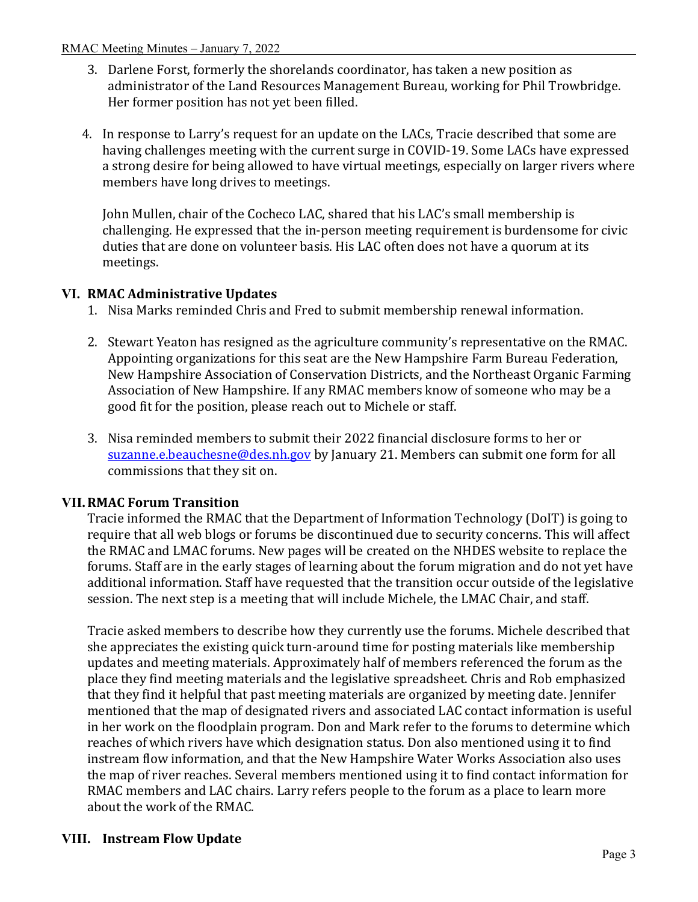#### RMAC Meeting Minutes – January 7, 2022

- 3. Darlene Forst, formerly the shorelands coordinator, has taken a new position as administrator of the Land Resources Management Bureau, working for Phil Trowbridge. Her former position has not yet been filled.
- 4. In response to Larry's request for an update on the LACs, Tracie described that some are having challenges meeting with the current surge in COVID-19. Some LACs have expressed a strong desire for being allowed to have virtual meetings, especially on larger rivers where members have long drives to meetings.

John Mullen, chair of the Cocheco LAC, shared that his LAC's small membership is challenging. He expressed that the in-person meeting requirement is burdensome for civic duties that are done on volunteer basis. His LAC often does not have a quorum at its meetings.

# **VI. RMAC Administrative Updates**

- 1. Nisa Marks reminded Chris and Fred to submit membership renewal information.
- 2. Stewart Yeaton has resigned as the agriculture community's representative on the RMAC. Appointing organizations for this seat are the New Hampshire Farm Bureau Federation, New Hampshire Association of Conservation Districts, and the Northeast Organic Farming Association of New Hampshire. If any RMAC members know of someone who may be a good fit for the position, please reach out to Michele or staff.
- 3. Nisa reminded members to submit their 2022 financial disclosure forms to her or [suzanne.e.beauchesne@des.nh.gov](mailto:suzanne.e.beauchesne@des.nh.gov) by January 21. Members can submit one form for all commissions that they sit on.

## **VII.RMAC Forum Transition**

Tracie informed the RMAC that the Department of Information Technology (DoIT) is going to require that all web blogs or forums be discontinued due to security concerns. This will affect the RMAC and LMAC forums. New pages will be created on the NHDES website to replace the forums. Staff are in the early stages of learning about the forum migration and do not yet have additional information. Staff have requested that the transition occur outside of the legislative session. The next step is a meeting that will include Michele, the LMAC Chair, and staff.

Tracie asked members to describe how they currently use the forums. Michele described that she appreciates the existing quick turn-around time for posting materials like membership updates and meeting materials. Approximately half of members referenced the forum as the place they find meeting materials and the legislative spreadsheet. Chris and Rob emphasized that they find it helpful that past meeting materials are organized by meeting date. Jennifer mentioned that the map of designated rivers and associated LAC contact information is useful in her work on the floodplain program. Don and Mark refer to the forums to determine which reaches of which rivers have which designation status. Don also mentioned using it to find instream flow information, and that the New Hampshire Water Works Association also uses the map of river reaches. Several members mentioned using it to find contact information for RMAC members and LAC chairs. Larry refers people to the forum as a place to learn more about the work of the RMAC.

# **VIII. Instream Flow Update**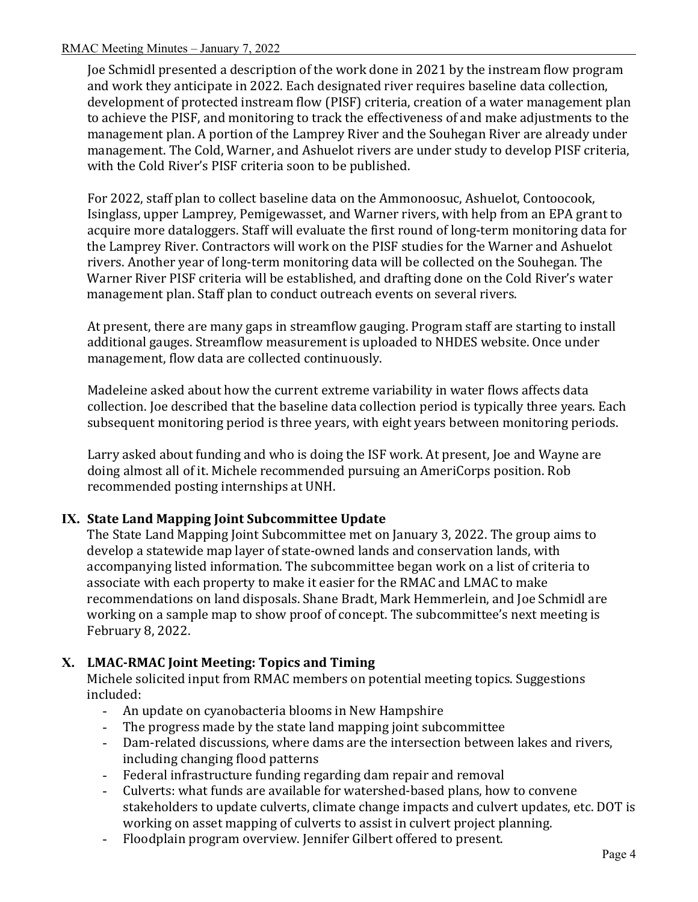### RMAC Meeting Minutes – January 7, 2022

Joe Schmidl presented a description of the work done in 2021 by the instream flow program and work they anticipate in 2022. Each designated river requires baseline data collection, development of protected instream flow (PISF) criteria, creation of a water management plan to achieve the PISF, and monitoring to track the effectiveness of and make adjustments to the management plan. A portion of the Lamprey River and the Souhegan River are already under management. The Cold, Warner, and Ashuelot rivers are under study to develop PISF criteria, with the Cold River's PISF criteria soon to be published.

For 2022, staff plan to collect baseline data on the Ammonoosuc, Ashuelot, Contoocook, Isinglass, upper Lamprey, Pemigewasset, and Warner rivers, with help from an EPA grant to acquire more dataloggers. Staff will evaluate the first round of long-term monitoring data for the Lamprey River. Contractors will work on the PISF studies for the Warner and Ashuelot rivers. Another year of long-term monitoring data will be collected on the Souhegan. The Warner River PISF criteria will be established, and drafting done on the Cold River's water management plan. Staff plan to conduct outreach events on several rivers.

At present, there are many gaps in streamflow gauging. Program staff are starting to install additional gauges. Streamflow measurement is uploaded to NHDES website. Once under management, flow data are collected continuously.

Madeleine asked about how the current extreme variability in water flows affects data collection. Joe described that the baseline data collection period is typically three years. Each subsequent monitoring period is three years, with eight years between monitoring periods.

Larry asked about funding and who is doing the ISF work. At present, Joe and Wayne are doing almost all of it. Michele recommended pursuing an AmeriCorps position. Rob recommended posting internships at UNH.

## **IX. State Land Mapping Joint Subcommittee Update**

The State Land Mapping Joint Subcommittee met on January 3, 2022. The group aims to develop a statewide map layer of state-owned lands and conservation lands, with accompanying listed information. The subcommittee began work on a list of criteria to associate with each property to make it easier for the RMAC and LMAC to make recommendations on land disposals. Shane Bradt, Mark Hemmerlein, and Joe Schmidl are working on a sample map to show proof of concept. The subcommittee's next meeting is February 8, 2022.

## **X. LMAC-RMAC Joint Meeting: Topics and Timing**

Michele solicited input from RMAC members on potential meeting topics. Suggestions included:

- An update on cyanobacteria blooms in New Hampshire<br>- The progress made by the state land mapping joint sube
- The progress made by the state land mapping joint subcommittee<br>- Dam-related discussions, where dams are the intersection betwee
- Dam-related discussions, where dams are the intersection between lakes and rivers, including changing flood patterns
- Federal infrastructure funding regarding dam repair and removal
- Culverts: what funds are available for watershed-based plans, how to convene stakeholders to update culverts, climate change impacts and culvert updates, etc. DOT is working on asset mapping of culverts to assist in culvert project planning.
- Floodplain program overview. Jennifer Gilbert offered to present.